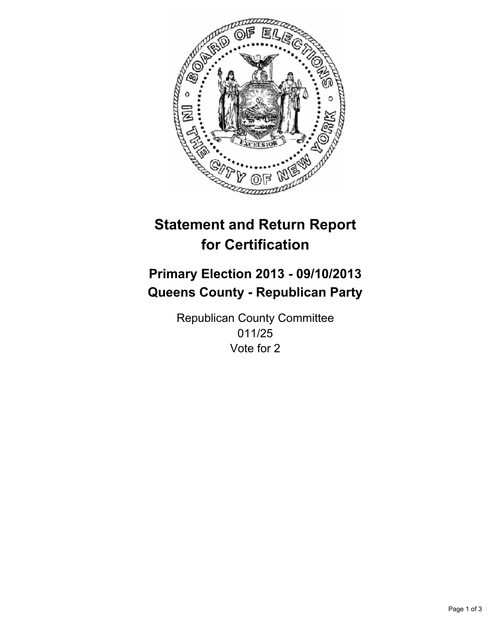

# **Statement and Return Report for Certification**

# **Primary Election 2013 - 09/10/2013 Queens County - Republican Party**

Republican County Committee 011/25 Vote for 2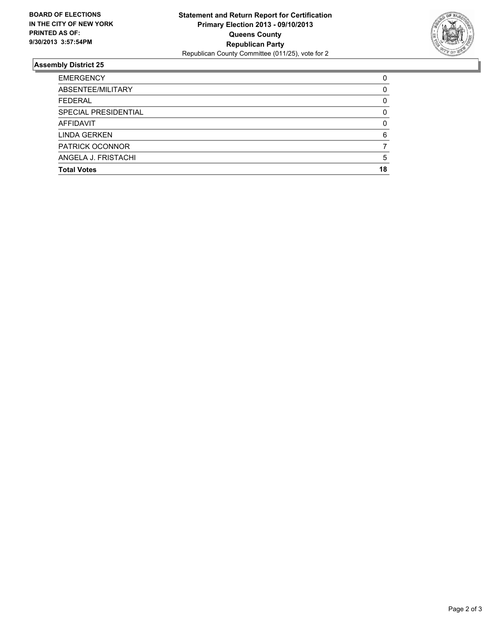

## **Assembly District 25**

| <b>EMERGENCY</b>     | 0  |
|----------------------|----|
| ABSENTEE/MILITARY    | 0  |
| <b>FEDERAL</b>       | 0  |
| SPECIAL PRESIDENTIAL | 0  |
| <b>AFFIDAVIT</b>     | 0  |
| <b>LINDA GERKEN</b>  | 6  |
| PATRICK OCONNOR      |    |
| ANGELA J. FRISTACHI  | 5  |
| <b>Total Votes</b>   | 18 |